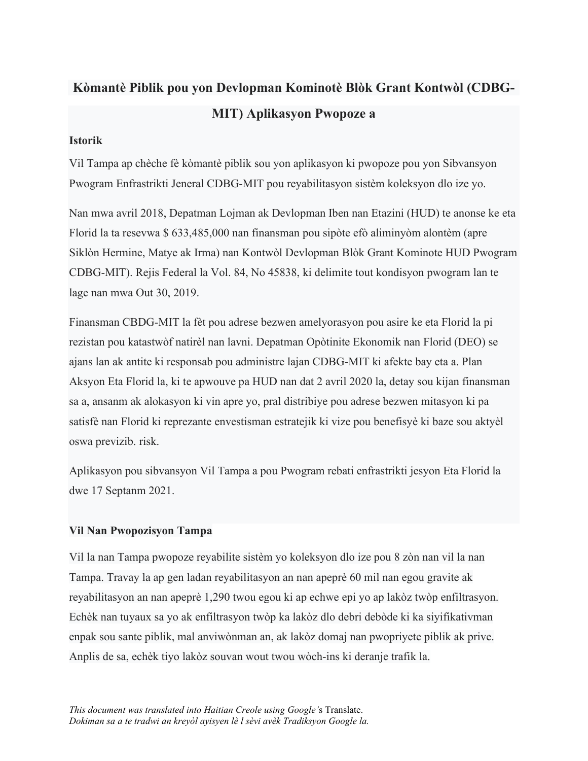## **Kòmantè Piblik pou yon Devlopman Kominotè Blòk Grant Kontwòl (CDBG-MIT) Aplikasyon Pwopoze a**

## **Istorik**

Vil Tampa ap chèche fè kòmantè piblik sou yon aplikasyon ki pwopoze pou yon Sibvansyon Pwogram Enfrastrikti Jeneral CDBG-MIT pou reyabilitasyon sistèm koleksyon dlo ize yo.

Nan mwa avril 2018, Depatman Lojman ak Devlopman Iben nan Etazini (HUD) te anonse ke eta Florid la ta resevwa \$ 633,485,000 nan finansman pou sipòte efò aliminyòm alontèm (apre Siklòn Hermine, Matye ak Irma) nan Kontwòl Devlopman Blòk Grant Kominote HUD Pwogram CDBG-MIT). Rejis Federal la Vol. 84, No 45838, ki delimite tout kondisyon pwogram lan te lage nan mwa Out 30, 2019.

Finansman CBDG-MIT la fèt pou adrese bezwen amelyorasyon pou asire ke eta Florid la pi rezistan pou katastwòf natirèl nan lavni. Depatman Opòtinite Ekonomik nan Florid (DEO) se ajans lan ak antite ki responsab pou administre lajan CDBG-MIT ki afekte bay eta a. Plan Aksyon Eta Florid la, ki te apwouve pa HUD nan dat 2 avril 2020 la, detay sou kijan finansman sa a, ansanm ak alokasyon ki vin apre yo, pral distribiye pou adrese bezwen mitasyon ki pa satisfè nan Florid ki reprezante envestisman estratejik ki vize pou benefisyè ki baze sou aktyèl oswa previzib. risk.

Aplikasyon pou sibvansyon Vil Tampa a pou Pwogram rebati enfrastrikti jesyon Eta Florid la dwe 17 Septanm 2021.

## **Vil Nan Pwopozisyon Tampa**

Vil la nan Tampa pwopoze reyabilite sistèm yo koleksyon dlo ize pou 8 zòn nan vil la nan Tampa. Travay la ap gen ladan reyabilitasyon an nan apeprè 60 mil nan egou gravite ak reyabilitasyon an nan apeprè 1,290 twou egou ki ap echwe epi yo ap lakòz twòp enfiltrasyon. Echèk nan tuyaux sa yo ak enfiltrasyon twòp ka lakòz dlo debri debòde ki ka siyifikativman enpak sou sante piblik, mal anviwònman an, ak lakòz domaj nan pwopriyete piblik ak prive. Anplis de sa, echèk tiyo lakòz souvan wout twou wòch-ins ki deranje trafik la.